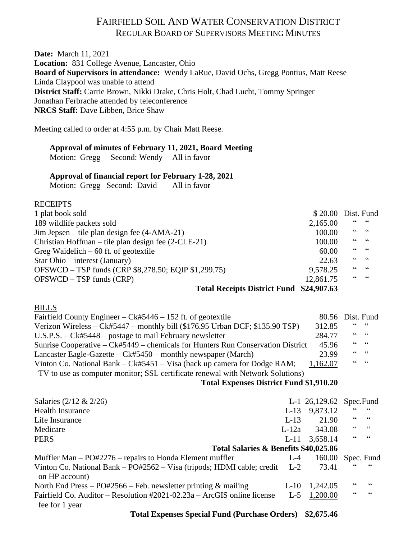# FAIRFIELD SOIL AND WATER CONSERVATION DISTRICT REGULAR BOARD OF SUPERVISORS MEETING MINUTES

**Date:** March 11, 2021 **Location:** 831 College Avenue, Lancaster, Ohio **Board of Supervisors in attendance:** Wendy LaRue, David Ochs, Gregg Pontius, Matt Reese Linda Claypool was unable to attend **District Staff:** Carrie Brown, Nikki Drake, Chris Holt, Chad Lucht, Tommy Springer Jonathan Ferbrache attended by teleconference **NRCS Staff:** Dave Libben, Brice Shaw

Meeting called to order at 4:55 p.m. by Chair Matt Reese.

### **Approval of minutes of February 11, 2021, Board Meeting**

Motion: Gregg Second: Wendy All in favor

### **Approval of financial report for February 1-28, 2021**

Motion: Gregg Second: David All in favor

### RECEIPTS

| 1 plat book sold                                             | \$20.00 Dist. Fund |                                                                                         |
|--------------------------------------------------------------|--------------------|-----------------------------------------------------------------------------------------|
| 189 wildlife packets sold                                    | 2,165.00           | 66666                                                                                   |
| $\text{Jim Jepsen} - \text{tile plan design fee (4-AMA-21)}$ | 100.00             | $\begin{array}{ccc} & & & \texttt{G} & \\ \texttt{G} & & & \texttt{G} & \\ \end{array}$ |
| Christian Hoffman – tile plan design fee $(2-CLE-21)$        | 100.00             | $\begin{array}{ccc} \textsf{G}\,\textsf{G} & \textsf{G}\,\textsf{G} \end{array}$        |
| Greg Waidelich $-60$ ft. of geotextile                       | 60.00              | $\begin{array}{ccc} \textsf{G}\,\textsf{G} & \textsf{G}\,\textsf{G} \end{array}$        |
| Star Ohio – interest (January)                               | 22.63              | $66 - 66$                                                                               |
| OFSWCD - TSP funds (CRP \$8,278.50; EQIP \$1,299.75)         | 9,578.25           | $66 - 66$                                                                               |
| $OFSWCD - TSP$ funds $(CRP)$                                 | 12,861.75          | $66 - 66$                                                                               |
|                                                              |                    |                                                                                         |

#### **Total Receipts District Fund \$24,907.63**

#### BILLS

| Fairfield County Engineer – $Ck#5446 - 152$ ft. of geotextile                   | 80.56 Dist. Fund |       |  |
|---------------------------------------------------------------------------------|------------------|-------|--|
| Verizon Wireless – Ck#5447 – monthly bill (\$176.95 Urban DCF; \$135.90 TSP)    | 312.85           | 66666 |  |
| U.S.P.S. $-Ck#5448$ – postage to mail February newsletter                       | 284.77           | 66666 |  |
| Sunrise Cooperative – Ck#5449 – chemicals for Hunters Run Conservation District | 45.96            | 66666 |  |
| Lancaster Eagle-Gazette $-Ck#5450$ – monthly newspaper (March)                  | 23.99            | 66666 |  |
| Vinton Co. National Bank – $Ck#5451 - Visa$ (back up camera for Dodge RAM;      | 1,162.07         | 66666 |  |
| TV to use as computer monitor; SSL certificate renewal with Network Solutions)  |                  |       |  |

### **Total Expenses District Fund \$1,910.20**

| Salaries $(2/12 \& 2/26)$                                                                |         | L-1 26,129.62 Spec.Fund |    |       |
|------------------------------------------------------------------------------------------|---------|-------------------------|----|-------|
| <b>Health Insurance</b>                                                                  | $L-13$  | 9,873.12                | 66 | 66    |
| Life Insurance                                                                           | $L-13$  | 21.90                   | 66 | 66    |
| Medicare                                                                                 | $L-12a$ | 343.08                  | 66 | 66    |
| <b>PERS</b>                                                                              | $L-11$  | 3,658.14                | 66 | $-66$ |
| Total Salaries & Benefits \$40,025.86                                                    |         |                         |    |       |
| Muffler Man $-$ PO#2276 $-$ repairs to Honda Element muffler                             | $L-4$   | 160.00 Spec. Fund       |    |       |
| Vinton Co. National Bank – PO#2562 – Visa (tripods; HDMI cable; credit<br>on HP account) | $L-2$   | 73.41                   | 66 | 66    |
|                                                                                          |         |                         | 66 | 66    |
| North End Press – PO#2566 – Feb. newsletter printing & mailing                           | $L-10$  | 1,242.05                |    |       |

 **Total Expenses Special Fund (Purchase Orders) \$2,675.46**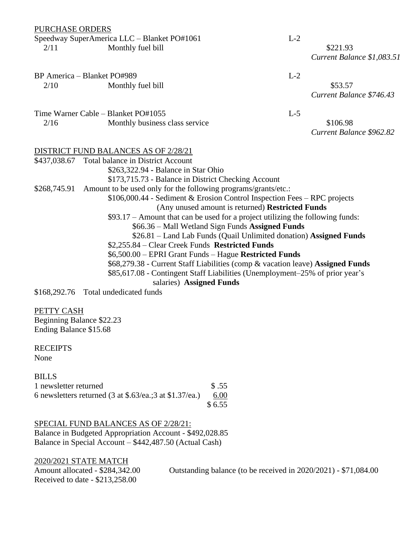PURCHASE ORDERS

Speedway SuperAmerica LLC – Blanket PO#1061 L-2 2/11 Monthly fuel bill \$221.93

*Current Balance \$1,083.51*

BP America – Blanket PO#989 L-2 2/10 Monthly fuel bill \$53.57 *Current Balance \$746.43* Time Warner Cable – Blanket PO#1055 L-5 2/16 Monthly business class service \$106.98 *Current Balance \$962.82* DISTRICT FUND BALANCES AS OF 2/28/21 \$437,038.67 Total balance in District Account \$263,322.94 **-** Balance in Star Ohio \$173,715.73 - Balance in District Checking Account \$268,745.91 Amount to be used only for the following programs/grants/etc.: \$106,000.44 - Sediment & Erosion Control Inspection Fees – RPC projects (Any unused amount is returned) **Restricted Funds** \$93.17 – Amount that can be used for a project utilizing the following funds: \$66.36 – Mall Wetland Sign Funds **Assigned Funds**

\$26.81 – Land Lab Funds (Quail Unlimited donation) **Assigned Funds** \$2,255.84 – Clear Creek Funds **Restricted Funds** \$6,500.00 – EPRI Grant Funds – Hague **Restricted Funds** \$68,279.38 - Current Staff Liabilities (comp & vacation leave) **Assigned Funds** \$85,617.08 - Contingent Staff Liabilities (Unemployment–25% of prior year's

salaries) **Assigned Funds**

\$168,292.76 Total undedicated funds

PETTY CASH Beginning Balance \$22.23 Ending Balance \$15.68

**RECEIPTS** None

**BILLS** 1 newsletter returned  $$.55$ 6 newsletters returned (3 at \$.63/ea.;3 at \$1.37/ea.) 6.00 \$ 6.55

#### SPECIAL FUND BALANCES AS OF 2/28/21:

Balance in Budgeted Appropriation Account - \$492,028.85 Balance in Special Account – \$442,487.50 (Actual Cash)

2020/2021 STATE MATCH Received to date - \$213,258.00

Amount allocated - \$284,342.00 Outstanding balance (to be received in 2020/2021) - \$71,084.00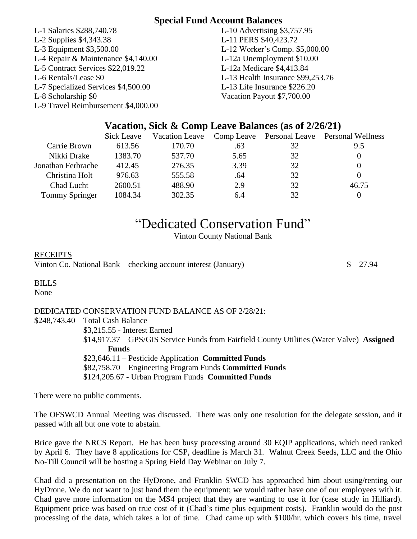# **Special Fund Account Balances**

- L-1 Salaries \$288,740.78 L-10 Advertising \$3,757.95 L-2 Supplies \$4,343.38 L-11 PERS \$40,423.72 L-3 Equipment \$3,500.00 L-12 Worker's Comp. \$5,000.00 L-4 Repair & Maintenance \$4,140.00 L-12a Unemployment \$10.00 L-5 Contract Services \$22,019.22 L-12a Medicare \$4,413.84 L-6 Rentals/Lease \$0 L-13 Health Insurance \$99,253.76 L-7 Specialized Services \$4,500.00 L-13 Life Insurance \$226.20 L-8 Scholarship \$0 Vacation Payout \$7,700.00 L-9 Travel Reimbursement \$4,000.00
- 

# **Vacation, Sick & Comp Leave Balances (as of 2/26/21)**

|                       | Sick Leave | Vacation Leave | Comp Leave | Personal Leave | <b>Personal Wellness</b> |
|-----------------------|------------|----------------|------------|----------------|--------------------------|
| Carrie Brown          | 613.56     | 170.70         | .63        | 32             | 9.5                      |
| Nikki Drake           | 1383.70    | 537.70         | 5.65       | 32             |                          |
| Jonathan Ferbrache    | 412.45     | 276.35         | 3.39       | 32             |                          |
| Christina Holt        | 976.63     | 555.58         | .64        | 32             |                          |
| Chad Lucht            | 2600.51    | 488.90         | 2.9        | 32             | 46.75                    |
| <b>Tommy Springer</b> | 1084.34    | 302.35         | 6.4        | 32             |                          |

# "Dedicated Conservation Fund"

Vinton County National Bank

# RECEIPTS

Vinton Co. National Bank – checking account interest (January)  $\qquad$   $\qquad$  7.94

# BILLS

None

# DEDICATED CONSERVATION FUND BALANCE AS OF 2/28/21:

\$248,743.40 Total Cash Balance \$3,215.55 - Interest Earned \$14,917.37 – GPS/GIS Service Funds from Fairfield County Utilities (Water Valve) **Assigned Funds** \$23,646.11 – Pesticide Application **Committed Funds** \$82,758.70 – Engineering Program Funds **Committed Funds** \$124,205.67 - Urban Program Funds **Committed Funds**

There were no public comments.

The OFSWCD Annual Meeting was discussed. There was only one resolution for the delegate session, and it passed with all but one vote to abstain.

Brice gave the NRCS Report. He has been busy processing around 30 EQIP applications, which need ranked by April 6. They have 8 applications for CSP, deadline is March 31. Walnut Creek Seeds, LLC and the Ohio No-Till Council will be hosting a Spring Field Day Webinar on July 7.

Chad did a presentation on the HyDrone, and Franklin SWCD has approached him about using/renting our HyDrone. We do not want to just hand them the equipment; we would rather have one of our employees with it. Chad gave more information on the MS4 project that they are wanting to use it for (case study in Hilliard). Equipment price was based on true cost of it (Chad's time plus equipment costs). Franklin would do the post processing of the data, which takes a lot of time. Chad came up with \$100/hr. which covers his time, travel